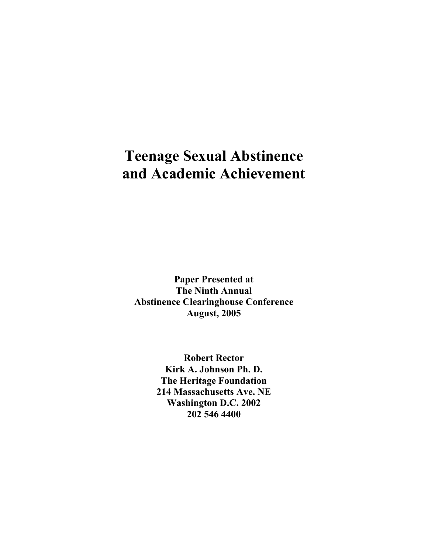# **Teenage Sexual Abstinence and Academic Achievement**

**Paper Presented at The Ninth Annual Abstinence Clearinghouse Conference August, 2005** 

> **Robert Rector Kirk A. Johnson Ph. D. The Heritage Foundation 214 Massachusetts Ave. NE Washington D.C. 2002 202 546 4400**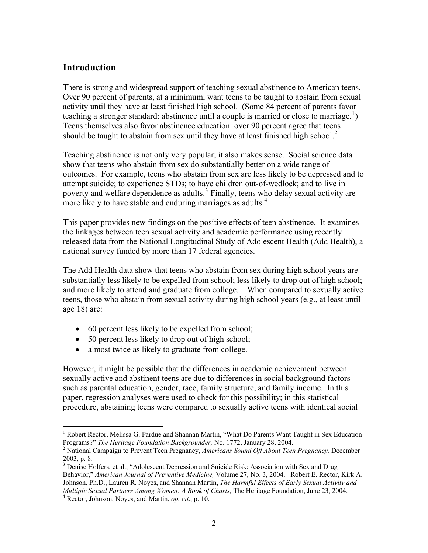### **Introduction**

There is strong and widespread support of teaching sexual abstinence to American teens. Over 90 percent of parents, at a minimum, want teens to be taught to abstain from sexual activity until they have at least finished high school. (Some 84 percent of parents favor teaching a stronger standard: abstinence until a couple is married or close to marriage.<sup>[1](#page-1-0)</sup>) Teens themselves also favor abstinence education: over 90 percent agree that teens should be taught to abstain from sex until they have at least finished high school. $2$ 

Teaching abstinence is not only very popular; it also makes sense. Social science data show that teens who abstain from sex do substantially better on a wide range of outcomes. For example, teens who abstain from sex are less likely to be depressed and to attempt suicide; to experience STDs; to have children out-of-wedlock; and to live in poverty and welfare dependence as adults.<sup>[3](#page-1-2)</sup> Finally, teens who delay sexual activity are more likely to have stable and enduring marriages as adults.<sup>[4](#page-1-3)</sup>

This paper provides new findings on the positive effects of teen abstinence. It examines the linkages between teen sexual activity and academic performance using recently released data from the National Longitudinal Study of Adolescent Health (Add Health), a national survey funded by more than 17 federal agencies.

The Add Health data show that teens who abstain from sex during high school years are substantially less likely to be expelled from school; less likely to drop out of high school; and more likely to attend and graduate from college. When compared to sexually active teens, those who abstain from sexual activity during high school years (e.g., at least until age 18) are:

- $\bullet$  60 percent less likely to be expelled from school;
- $\bullet$  50 percent less likely to drop out of high school;
- almost twice as likely to graduate from college.

However, it might be possible that the differences in academic achievement between sexually active and abstinent teens are due to differences in social background factors such as parental education, gender, race, family structure, and family income. In this paper, regression analyses were used to check for this possibility; in this statistical procedure, abstaining teens were compared to sexually active teens with identical social

 $\overline{a}$ 

<sup>&</sup>lt;sup>1</sup> Robert Rector, Melissa G. Pardue and Shannan Martin, "What Do Parents Want Taught in Sex Education Programs?" *The Heritage Foundation Backgrounder,* No. 1772, January 28, 2004. 2

<sup>&</sup>lt;sup>2</sup> National Campaign to Prevent Teen Pregnancy, *Americans Sound Off About Teen Pregnancy*, December 2003, p. 8.

<sup>&</sup>lt;sup>3</sup> Denise Holfers, et al., "Adolescent Depression and Suicide Risk: Association with Sex and Drug Behavior," *American Journal of Preventive Medicine,* Volume 27, No. 3, 2004. Robert E. Rector, Kirk A. Johnson, Ph.D., Lauren R. Noyes, and Shannan Martin, *The Harmful Effects of Early Sexual Activity and Multiple Sexual Partners Among Women: A Book of Charts,* The Heritage Foundation, June 23, 2004. 4

<span id="page-1-3"></span><span id="page-1-2"></span><span id="page-1-1"></span><span id="page-1-0"></span> $4$  Rector, Johnson, Noyes, and Martin, *op. cit.*, p. 10.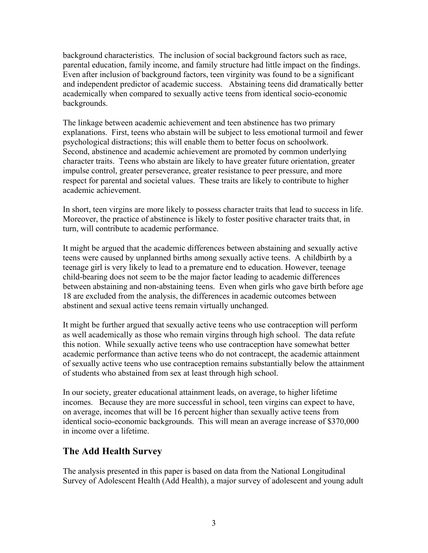background characteristics. The inclusion of social background factors such as race, parental education, family income, and family structure had little impact on the findings. Even after inclusion of background factors, teen virginity was found to be a significant and independent predictor of academic success. Abstaining teens did dramatically better academically when compared to sexually active teens from identical socio-economic backgrounds.

The linkage between academic achievement and teen abstinence has two primary explanations. First, teens who abstain will be subject to less emotional turmoil and fewer psychological distractions; this will enable them to better focus on schoolwork. Second, abstinence and academic achievement are promoted by common underlying character traits. Teens who abstain are likely to have greater future orientation, greater impulse control, greater perseverance, greater resistance to peer pressure, and more respect for parental and societal values. These traits are likely to contribute to higher academic achievement.

In short, teen virgins are more likely to possess character traits that lead to success in life. Moreover, the practice of abstinence is likely to foster positive character traits that, in turn, will contribute to academic performance.

It might be argued that the academic differences between abstaining and sexually active teens were caused by unplanned births among sexually active teens. A childbirth by a teenage girl is very likely to lead to a premature end to education. However, teenage child-bearing does not seem to be the major factor leading to academic differences between abstaining and non-abstaining teens. Even when girls who gave birth before age 18 are excluded from the analysis, the differences in academic outcomes between abstinent and sexual active teens remain virtually unchanged.

It might be further argued that sexually active teens who use contraception will perform as well academically as those who remain virgins through high school. The data refute this notion. While sexually active teens who use contraception have somewhat better academic performance than active teens who do not contracept, the academic attainment of sexually active teens who use contraception remains substantially below the attainment of students who abstained from sex at least through high school.

In our society, greater educational attainment leads, on average, to higher lifetime incomes. Because they are more successful in school, teen virgins can expect to have, on average, incomes that will be 16 percent higher than sexually active teens from identical socio-economic backgrounds. This will mean an average increase of \$370,000 in income over a lifetime.

## **The Add Health Survey**

The analysis presented in this paper is based on data from the National Longitudinal Survey of Adolescent Health (Add Health), a major survey of adolescent and young adult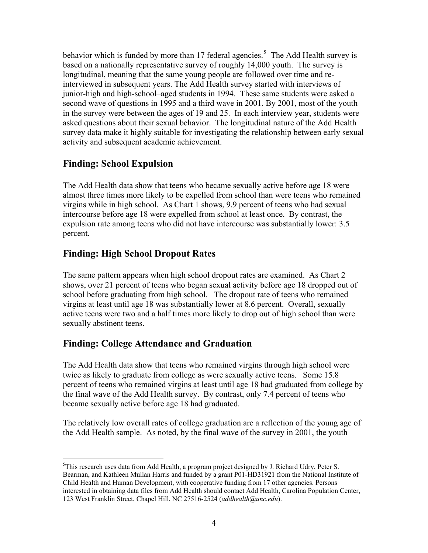<span id="page-3-0"></span>behavior which is funded by more than 17 federal agencies.<sup>[5](#page-3-0)</sup> The Add Health survey is based on a nationally representative survey of roughly 14,000 youth. The survey is longitudinal, meaning that the same young people are followed over time and reinterviewed in subsequent years. The Add Health survey started with interviews of junior-high and high-school–aged students in 1994. These same students were asked a second wave of questions in 1995 and a third wave in 2001. By 2001, most of the youth in the survey were between the ages of 19 and 25. In each interview year, students were asked questions about their sexual behavior. The longitudinal nature of the Add Health survey data make it highly suitable for investigating the relationship between early sexual activity and subsequent academic achievement.

## **Finding: School Expulsion**

The Add Health data show that teens who became sexually active before age 18 were almost three times more likely to be expelled from school than were teens who remained virgins while in high school. As Chart 1 shows, 9.9 percent of teens who had sexual intercourse before age 18 were expelled from school at least once. By contrast, the expulsion rate among teens who did not have intercourse was substantially lower: 3.5 percent.

## **Finding: High School Dropout Rates**

The same pattern appears when high school dropout rates are examined. As Chart 2 shows, over 21 percent of teens who began sexual activity before age 18 dropped out of school before graduating from high school. The dropout rate of teens who remained virgins at least until age 18 was substantially lower at 8.6 percent. Overall, sexually active teens were two and a half times more likely to drop out of high school than were sexually abstinent teens.

## **Finding: College Attendance and Graduation**

The Add Health data show that teens who remained virgins through high school were twice as likely to graduate from college as were sexually active teens. Some 15.8 percent of teens who remained virgins at least until age 18 had graduated from college by the final wave of the Add Health survey. By contrast, only 7.4 percent of teens who became sexually active before age 18 had graduated.

The relatively low overall rates of college graduation are a reflection of the young age of the Add Health sample. As noted, by the final wave of the survey in 2001, the youth

 $\overline{a}$ <sup>5</sup>This research uses data from Add Health, a program project designed by J. Richard Udry, Peter S. Bearman, and Kathleen Mullan Harris and funded by a grant P01-HD31921 from the National Institute of Child Health and Human Development, with cooperative funding from 17 other agencies. Persons interested in obtaining data files from Add Health should contact Add Health, Carolina Population Center, 123 West Franklin Street, Chapel Hill, NC 27516-2524 (*addhealth@unc.edu*).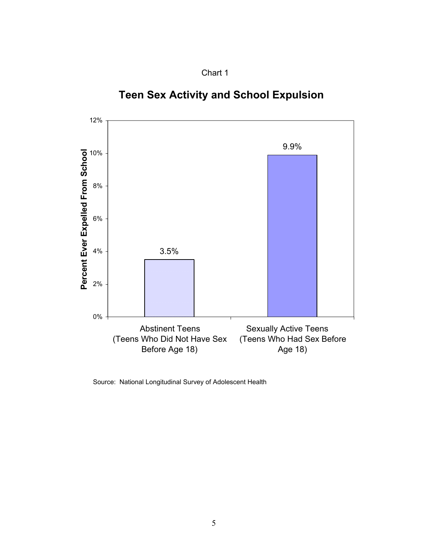

# 3.5% 9.9% 0% 2% 4% 6% 8% 10% 12% Abstinent Teens (Teens Who Did Not Have Sex Before Age 18) Sexually Active Teens (Teens Who Had Sex Before Age 18) **Percent Ever Expelled From School**

**Teen Sex Activity and School Expulsion**

Source: National Longitudinal Survey of Adolescent Health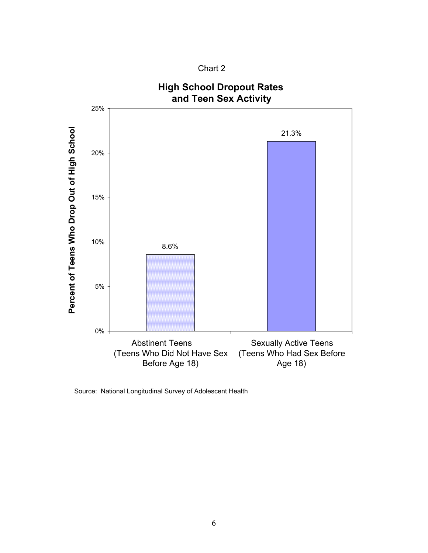



Source: National Longitudinal Survey of Adolescent Health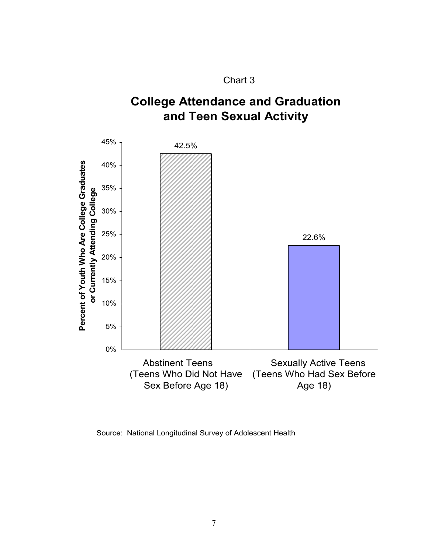

## **College Attendance and Graduation and Teen Sexual Activity**



Source: National Longitudinal Survey of Adolescent Health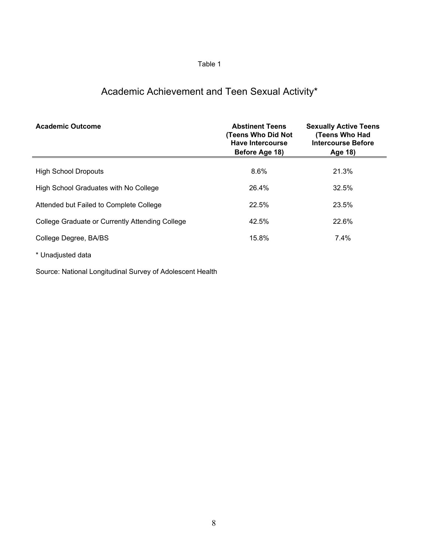## Academic Achievement and Teen Sexual Activity\*

| <b>Academic Outcome</b>                         | <b>Abstinent Teens</b><br>(Teens Who Did Not<br><b>Have Intercourse</b><br>Before Age 18) | <b>Sexually Active Teens</b><br>(Teens Who Had<br><b>Intercourse Before</b><br>Age 18) |
|-------------------------------------------------|-------------------------------------------------------------------------------------------|----------------------------------------------------------------------------------------|
| <b>High School Dropouts</b>                     | 8.6%                                                                                      | 21.3%                                                                                  |
| High School Graduates with No College           | 26.4%                                                                                     | 32.5%                                                                                  |
| Attended but Failed to Complete College         | 22.5%                                                                                     | 23.5%                                                                                  |
| College Graduate or Currently Attending College | 42.5%                                                                                     | 22.6%                                                                                  |
| College Degree, BA/BS                           | 15.8%                                                                                     | 7.4%                                                                                   |
| * Unadjusted data                               |                                                                                           |                                                                                        |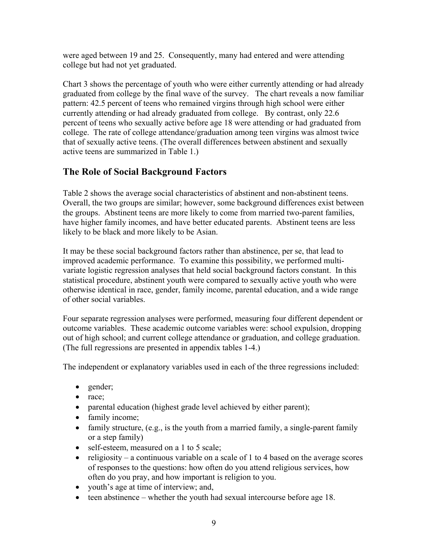were aged between 19 and 25. Consequently, many had entered and were attending college but had not yet graduated.

Chart 3 shows the percentage of youth who were either currently attending or had already graduated from college by the final wave of the survey. The chart reveals a now familiar pattern: 42.5 percent of teens who remained virgins through high school were either currently attending or had already graduated from college. By contrast, only 22.6 percent of teens who sexually active before age 18 were attending or had graduated from college. The rate of college attendance/graduation among teen virgins was almost twice that of sexually active teens. (The overall differences between abstinent and sexually active teens are summarized in Table 1.)

## **The Role of Social Background Factors**

Table 2 shows the average social characteristics of abstinent and non-abstinent teens. Overall, the two groups are similar; however, some background differences exist between the groups. Abstinent teens are more likely to come from married two-parent families, have higher family incomes, and have better educated parents. Abstinent teens are less likely to be black and more likely to be Asian.

It may be these social background factors rather than abstinence, per se, that lead to improved academic performance. To examine this possibility, we performed multivariate logistic regression analyses that held social background factors constant. In this statistical procedure, abstinent youth were compared to sexually active youth who were otherwise identical in race, gender, family income, parental education, and a wide range of other social variables.

Four separate regression analyses were performed, measuring four different dependent or outcome variables. These academic outcome variables were: school expulsion, dropping out of high school; and current college attendance or graduation, and college graduation. (The full regressions are presented in appendix tables 1-4.)

The independent or explanatory variables used in each of the three regressions included:

- $\bullet$  gender;
- $\bullet$  race;
- $\bullet$  parental education (highest grade level achieved by either parent);
- $\bullet$  family income;
- $\bullet$  family structure, (e.g., is the youth from a married family, a single-parent family or a step family)
- $\bullet$  self-esteem, measured on a 1 to 5 scale;
- religiosity a continuous variable on a scale of 1 to 4 based on the average scores of responses to the questions: how often do you attend religious services, how often do you pray, and how important is religion to you.
- youth's age at time of interview; and,
- $\bullet$  teen abstinence whether the youth had sexual intercourse before age 18.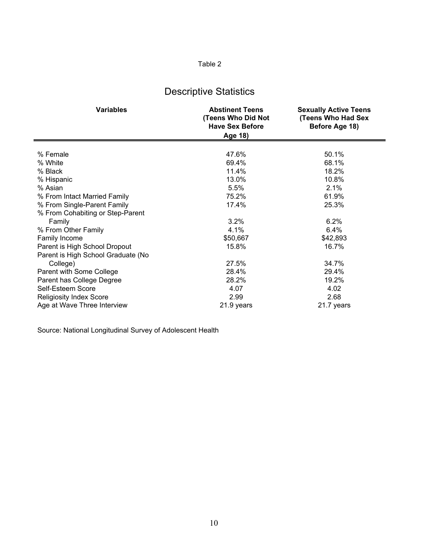## Descriptive Statistics

| <b>Variables</b>                   | <b>Abstinent Teens</b><br>(Teens Who Did Not<br><b>Have Sex Before</b><br>Age 18) | <b>Sexually Active Teens</b><br><b>(Teens Who Had Sex</b><br>Before Age 18) |
|------------------------------------|-----------------------------------------------------------------------------------|-----------------------------------------------------------------------------|
|                                    |                                                                                   |                                                                             |
| % Female                           | 47.6%                                                                             | 50.1%                                                                       |
| % White                            | 69.4%                                                                             | 68.1%                                                                       |
| % Black                            | 11.4%                                                                             | 18.2%                                                                       |
| % Hispanic                         | 13.0%                                                                             | 10.8%                                                                       |
| % Asian                            | 5.5%                                                                              | 2.1%                                                                        |
| % From Intact Married Family       | 75.2%                                                                             | 61.9%                                                                       |
| % From Single-Parent Family        | 17.4%                                                                             | 25.3%                                                                       |
| % From Cohabiting or Step-Parent   |                                                                                   |                                                                             |
| Family                             | 3.2%                                                                              | 6.2%                                                                        |
| % From Other Family                | 4.1%                                                                              | 6.4%                                                                        |
| Family Income                      | \$50,667                                                                          | \$42,893                                                                    |
| Parent is High School Dropout      | 15.8%                                                                             | 16.7%                                                                       |
| Parent is High School Graduate (No |                                                                                   |                                                                             |
| College)                           | 27.5%                                                                             | 34.7%                                                                       |
| Parent with Some College           | 28.4%                                                                             | 29.4%                                                                       |
| Parent has College Degree          | 28.2%                                                                             | 19.2%                                                                       |
| Self-Esteem Score                  | 4.07                                                                              | 4.02                                                                        |
| <b>Religiosity Index Score</b>     | 2.99                                                                              | 2.68                                                                        |
| Age at Wave Three Interview        | 21.9 years                                                                        | 21.7 years                                                                  |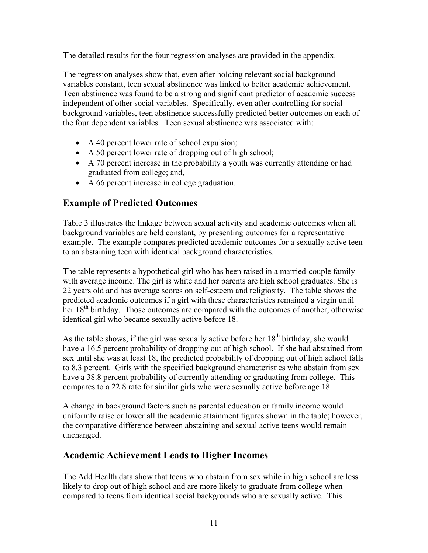The detailed results for the four regression analyses are provided in the appendix.

The regression analyses show that, even after holding relevant social background variables constant, teen sexual abstinence was linked to better academic achievement. Teen abstinence was found to be a strong and significant predictor of academic success independent of other social variables. Specifically, even after controlling for social background variables, teen abstinence successfully predicted better outcomes on each of the four dependent variables. Teen sexual abstinence was associated with:

- $\bullet$  A 40 percent lower rate of school expulsion;
- $\bullet$  A 50 percent lower rate of dropping out of high school;
- A 70 percent increase in the probability a youth was currently attending or had graduated from college; and,
- A 66 percent increase in college graduation.

## **Example of Predicted Outcomes**

Table 3 illustrates the linkage between sexual activity and academic outcomes when all background variables are held constant, by presenting outcomes for a representative example. The example compares predicted academic outcomes for a sexually active teen to an abstaining teen with identical background characteristics.

The table represents a hypothetical girl who has been raised in a married-couple family with average income. The girl is white and her parents are high school graduates. She is 22 years old and has average scores on self-esteem and religiosity. The table shows the predicted academic outcomes if a girl with these characteristics remained a virgin until her 18<sup>th</sup> birthday. Those outcomes are compared with the outcomes of another, otherwise identical girl who became sexually active before 18.

As the table shows, if the girl was sexually active before her  $18<sup>th</sup>$  birthday, she would have a 16.5 percent probability of dropping out of high school. If she had abstained from sex until she was at least 18, the predicted probability of dropping out of high school falls to 8.3 percent. Girls with the specified background characteristics who abstain from sex have a 38.8 percent probability of currently attending or graduating from college. This compares to a 22.8 rate for similar girls who were sexually active before age 18.

A change in background factors such as parental education or family income would uniformly raise or lower all the academic attainment figures shown in the table; however, the comparative difference between abstaining and sexual active teens would remain unchanged.

## **Academic Achievement Leads to Higher Incomes**

The Add Health data show that teens who abstain from sex while in high school are less likely to drop out of high school and are more likely to graduate from college when compared to teens from identical social backgrounds who are sexually active. This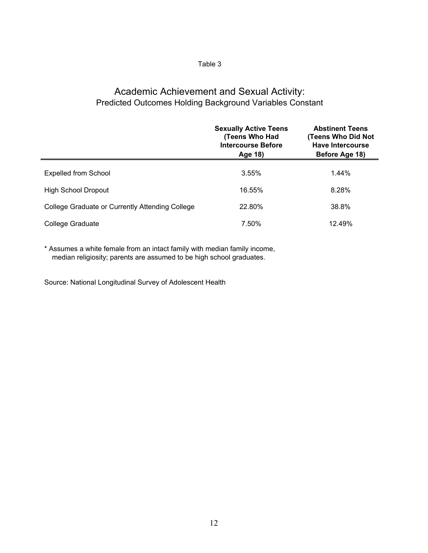## Academic Achievement and Sexual Activity: Predicted Outcomes Holding Background Variables Constant

|                                                 | <b>Sexually Active Teens</b><br>(Teens Who Had<br><b>Intercourse Before</b><br>Age 18) | <b>Abstinent Teens</b><br>(Teens Who Did Not<br>Have Intercourse<br>Before Age 18) |
|-------------------------------------------------|----------------------------------------------------------------------------------------|------------------------------------------------------------------------------------|
| Expelled from School                            | 3.55%                                                                                  | 1.44%                                                                              |
| High School Dropout                             | 16.55%                                                                                 | 8.28%                                                                              |
| College Graduate or Currently Attending College | 22.80%                                                                                 | 38.8%                                                                              |
| College Graduate                                | 7.50%                                                                                  | 12.49%                                                                             |

\* Assumes a white female from an intact family with median family income, median religiosity; parents are assumed to be high school graduates.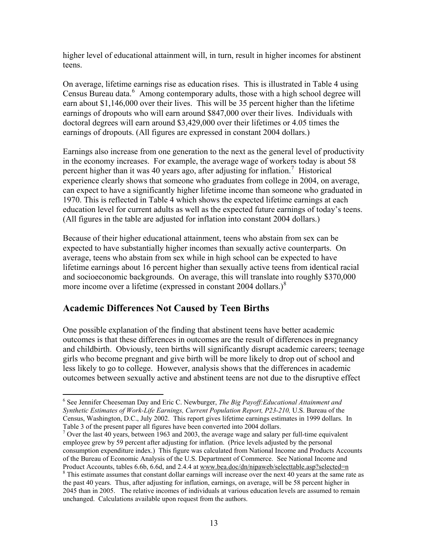<span id="page-12-0"></span>higher level of educational attainment will, in turn, result in higher incomes for abstinent teens.

On average, lifetime earnings rise as education rises. This is illustrated in Table 4 using Census Bureau data.<sup>[6](#page-12-0)</sup> Among contemporary adults, those with a high school degree will earn about \$1,146,000 over their lives. This will be 35 percent higher than the lifetime earnings of dropouts who will earn around \$847,000 over their lives. Individuals with doctoral degrees will earn around \$3,429,000 over their lifetimes or 4.05 times the earnings of dropouts. (All figures are expressed in constant 2004 dollars.)

Earnings also increase from one generation to the next as the general level of productivity in the economy increases. For example, the average wage of workers today is about 58 percent higher than it was 40 years ago, after adjusting for inflation.<sup>[7](#page-12-0)</sup> Historical experience clearly shows that someone who graduates from college in 2004, on average, can expect to have a significantly higher lifetime income than someone who graduated in 1970. This is reflected in Table 4 which shows the expected lifetime earnings at each education level for current adults as well as the expected future earnings of today's teens. (All figures in the table are adjusted for inflation into constant 2004 dollars.)

Because of their higher educational attainment, teens who abstain from sex can be expected to have substantially higher incomes than sexually active counterparts. On average, teens who abstain from sex while in high school can be expected to have lifetime earnings about 16 percent higher than sexually active teens from identical racial and socioeconomic backgrounds. On average, this will translate into roughly \$370,000 more income over a lifetime (expressed in constant  $2004$  dollars.)<sup>[8](#page-12-0)</sup>

## **Academic Differences Not Caused by Teen Births**

 $\overline{a}$ 

One possible explanation of the finding that abstinent teens have better academic outcomes is that these differences in outcomes are the result of differences in pregnancy and childbirth. Obviously, teen births will significantly disrupt academic careers; teenage girls who become pregnant and give birth will be more likely to drop out of school and less likely to go to college. However, analysis shows that the differences in academic outcomes between sexually active and abstinent teens are not due to the disruptive effect

 $<sup>7</sup>$  Over the last 40 years, between 1963 and 2003, the average wage and salary per full-time equivalent</sup> employee grew by 59 percent after adjusting for inflation. (Price levels adjusted by the personal consumption expenditure index.) This figure was calculated from National Income and Products Accounts of the Bureau of Economic Analysis of the U.S. Department of Commerce. See National Income and Product Accounts, tables 6.6b, 6.6d, and 2.4.4 at www.bea.doc/dn/nipaweb/selecttable.asp?selected=n

<sup>6</sup> See Jennifer Cheeseman Day and Eric C. Newburger, *The Big Payoff:Educational Attainment and Synthetic Estimates of Work-Life Earnings, Current Population Report, P23-210,* U.S. Bureau of the Census, Washington, D.C., July 2002. This report gives lifetime earnings estimates in 1999 dollars. In Table 3 of the present paper all figures have been converted into 2004 dollars.

<sup>&</sup>lt;sup>8</sup> This estimate assumes that constant dollar earnings will increase over the next 40 years at the same rate as the past 40 years. Thus, after adjusting for inflation, earnings, on average, will be 58 percent higher in 2045 than in 2005. The relative incomes of individuals at various education levels are assumed to remain unchanged. Calculations available upon request from the authors.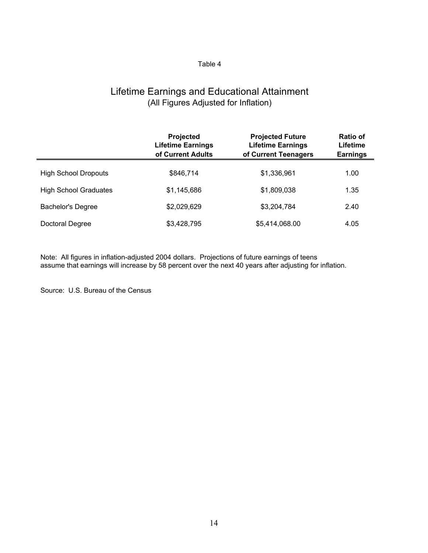## Lifetime Earnings and Educational Attainment (All Figures Adjusted for Inflation)

|                              | Projected<br><b>Lifetime Earnings</b><br>of Current Adults | <b>Projected Future</b><br><b>Lifetime Earnings</b><br>of Current Teenagers | <b>Ratio of</b><br>Lifetime<br><b>Earnings</b> |
|------------------------------|------------------------------------------------------------|-----------------------------------------------------------------------------|------------------------------------------------|
| <b>High School Dropouts</b>  | \$846,714                                                  | \$1,336,961                                                                 | 1.00                                           |
| <b>High School Graduates</b> | \$1,145,686                                                | \$1,809,038                                                                 | 1.35                                           |
| <b>Bachelor's Degree</b>     | \$2,029,629                                                | \$3,204,784                                                                 | 2.40                                           |
| Doctoral Degree              | \$3,428,795                                                | \$5,414,068.00                                                              | 4.05                                           |

Note: All figures in inflation-adjusted 2004 dollars. Projections of future earnings of teens assume that earnings will increase by 58 percent over the next 40 years after adjusting for inflation.

Source: U.S. Bureau of the Census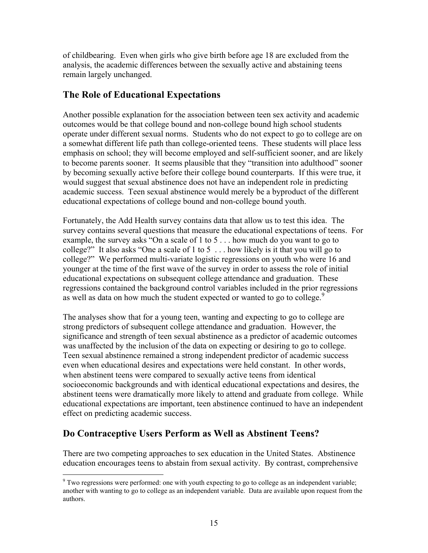<span id="page-14-0"></span>of childbearing. Even when girls who give birth before age 18 are excluded from the analysis, the academic differences between the sexually active and abstaining teens remain largely unchanged.

### **The Role of Educational Expectations**

Another possible explanation for the association between teen sex activity and academic outcomes would be that college bound and non-college bound high school students operate under different sexual norms. Students who do not expect to go to college are on a somewhat different life path than college-oriented teens. These students will place less emphasis on school; they will become employed and self-sufficient sooner, and are likely to become parents sooner. It seems plausible that they "transition into adulthood" sooner by becoming sexually active before their college bound counterparts. If this were true, it would suggest that sexual abstinence does not have an independent role in predicting academic success. Teen sexual abstinence would merely be a byproduct of the different educational expectations of college bound and non-college bound youth.

Fortunately, the Add Health survey contains data that allow us to test this idea. The survey contains several questions that measure the educational expectations of teens. For example, the survey asks "On a scale of 1 to 5 . . . how much do you want to go to college?" It also asks "One a scale of 1 to 5 . . . how likely is it that you will go to college?" We performed multi-variate logistic regressions on youth who were 16 and younger at the time of the first wave of the survey in order to assess the role of initial educational expectations on subsequent college attendance and graduation. These regressions contained the background control variables included in the prior regressions as well as data on how much the student expected or wanted to go to college.<sup>[9](#page-14-0)</sup>

The analyses show that for a young teen, wanting and expecting to go to college are strong predictors of subsequent college attendance and graduation. However, the significance and strength of teen sexual abstinence as a predictor of academic outcomes was unaffected by the inclusion of the data on expecting or desiring to go to college. Teen sexual abstinence remained a strong independent predictor of academic success even when educational desires and expectations were held constant. In other words, when abstinent teens were compared to sexually active teens from identical socioeconomic backgrounds and with identical educational expectations and desires, the abstinent teens were dramatically more likely to attend and graduate from college. While educational expectations are important, teen abstinence continued to have an independent effect on predicting academic success.

## **Do Contraceptive Users Perform as Well as Abstinent Teens?**

There are two competing approaches to sex education in the United States. Abstinence education encourages teens to abstain from sexual activity. By contrast, comprehensive

 $\overline{a}$  $9^9$  Two regressions were performed: one with youth expecting to go to college as an independent variable; another with wanting to go to college as an independent variable. Data are available upon request from the authors.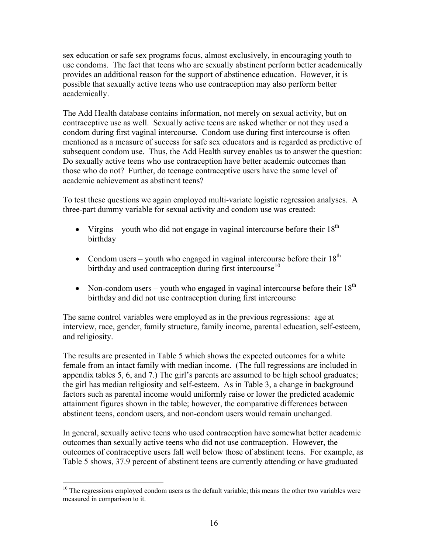<span id="page-15-0"></span>sex education or safe sex programs focus, almost exclusively, in encouraging youth to use condoms. The fact that teens who are sexually abstinent perform better academically provides an additional reason for the support of abstinence education. However, it is possible that sexually active teens who use contraception may also perform better academically.

The Add Health database contains information, not merely on sexual activity, but on contraceptive use as well. Sexually active teens are asked whether or not they used a condom during first vaginal intercourse. Condom use during first intercourse is often mentioned as a measure of success for safe sex educators and is regarded as predictive of subsequent condom use. Thus, the Add Health survey enables us to answer the question: Do sexually active teens who use contraception have better academic outcomes than those who do not? Further, do teenage contraceptive users have the same level of academic achievement as abstinent teens?

To test these questions we again employed multi-variate logistic regression analyses. A three-part dummy variable for sexual activity and condom use was created:

- Virgins youth who did not engage in vaginal intercourse before their  $18<sup>th</sup>$ birthday
- Condom users youth who engaged in vaginal intercourse before their  $18<sup>th</sup>$ birthday and used contraception during first intercourse<sup>[10](#page-15-0)</sup>
- Non-condom users youth who engaged in vaginal intercourse before their  $18<sup>th</sup>$ birthday and did not use contraception during first intercourse

The same control variables were employed as in the previous regressions: age at interview, race, gender, family structure, family income, parental education, self-esteem, and religiosity.

The results are presented in Table 5 which shows the expected outcomes for a white female from an intact family with median income. (The full regressions are included in appendix tables 5, 6, and 7.) The girl's parents are assumed to be high school graduates; the girl has median religiosity and self-esteem. As in Table 3, a change in background factors such as parental income would uniformly raise or lower the predicted academic attainment figures shown in the table; however, the comparative differences between abstinent teens, condom users, and non-condom users would remain unchanged.

In general, sexually active teens who used contraception have somewhat better academic outcomes than sexually active teens who did not use contraception. However, the outcomes of contraceptive users fall well below those of abstinent teens. For example, as Table 5 shows, 37.9 percent of abstinent teens are currently attending or have graduated

1

 $10$  The regressions employed condom users as the default variable; this means the other two variables were measured in comparison to it.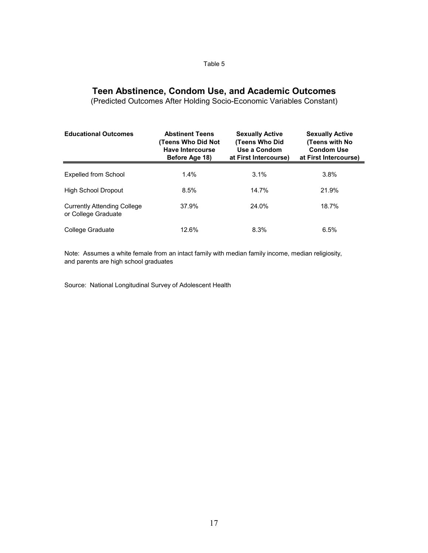## **Teen Abstinence, Condom Use, and Academic Outcomes**

(Predicted Outcomes After Holding Socio-Economic Variables Constant)

| <b>Educational Outcomes</b>                        | <b>Abstinent Teens</b><br>(Teens Who Did Not<br><b>Have Intercourse</b><br>Before Age 18) |       | <b>Sexually Active</b><br>(Teens with No<br><b>Condom Use</b><br>at First Intercourse) |  |  |
|----------------------------------------------------|-------------------------------------------------------------------------------------------|-------|----------------------------------------------------------------------------------------|--|--|
| <b>Expelled from School</b>                        | 1.4%                                                                                      | 3.1%  | 3.8%                                                                                   |  |  |
| <b>High School Dropout</b>                         | 8.5%                                                                                      | 14.7% | 21.9%                                                                                  |  |  |
| Currently Attending College<br>or College Graduate | 37.9%                                                                                     | 24.0% | 18.7%                                                                                  |  |  |
| College Graduate                                   | 12.6%                                                                                     | 8.3%  | 6.5%                                                                                   |  |  |

Note: Assumes a white female from an intact family with median family income, median religiosity, and parents are high school graduates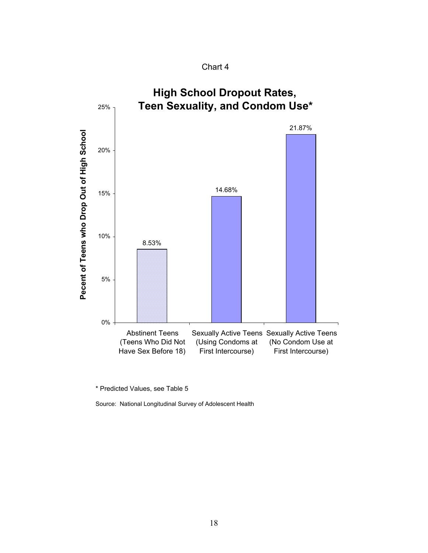Chart 4



\* Predicted Values, see Table 5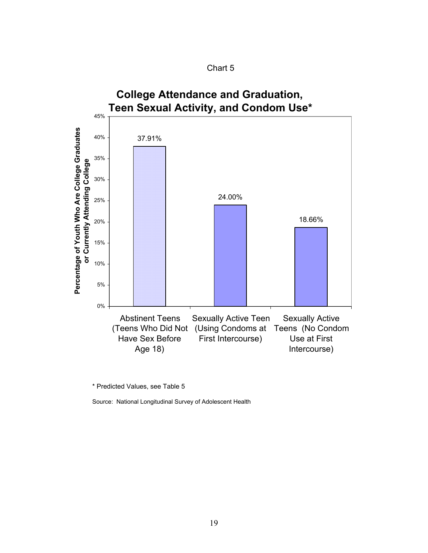



\* Predicted Values, see Table 5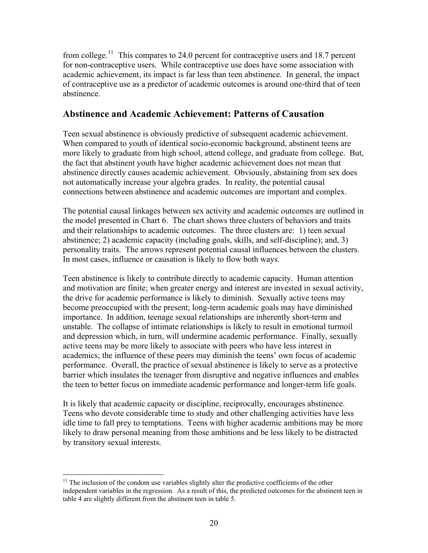<span id="page-19-0"></span>from college.<sup>[11](#page-19-0)</sup> This compares to 24.0 percent for contraceptive users and 18.7 percent for non-contraceptive users. While contraceptive use does have some association with academic achievement, its impact is far less than teen abstinence. In general, the impact of contraceptive use as a predictor of academic outcomes is around one-third that of teen abstinence.

### **Abstinence and Academic Achievement: Patterns of Causation**

Teen sexual abstinence is obviously predictive of subsequent academic achievement. When compared to youth of identical socio-economic background, abstinent teens are more likely to graduate from high school, attend college, and graduate from college. But, the fact that abstinent youth have higher academic achievement does not mean that abstinence directly causes academic achievement. Obviously, abstaining from sex does not automatically increase your algebra grades. In reality, the potential causal connections between abstinence and academic outcomes are important and complex.

The potential causal linkages between sex activity and academic outcomes are outlined in the model presented in Chart 6. The chart shows three clusters of behaviors and traits and their relationships to academic outcomes. The three clusters are: 1) teen sexual abstinence; 2) academic capacity (including goals, skills, and self-discipline); and, 3) personality traits. The arrows represent potential causal influences between the clusters. In most cases, influence or causation is likely to flow both ways.

Teen abstinence is likely to contribute directly to academic capacity. Human attention and motivation are finite; when greater energy and interest are invested in sexual activity, the drive for academic performance is likely to diminish. Sexually active teens may become preoccupied with the present; long-term academic goals may have diminished importance. In addition, teenage sexual relationships are inherently short-term and unstable. The collapse of intimate relationships is likely to result in emotional turmoil and depression which, in turn, will undermine academic performance. Finally, sexually active teens may be more likely to associate with peers who have less interest in academics; the influence of these peers may diminish the teens' own focus of academic performance. Overall, the practice of sexual abstinence is likely to serve as a protective barrier which insulates the teenager from disruptive and negative influences and enables the teen to better focus on immediate academic performance and longer-term life goals.

It is likely that academic capacity or discipline, reciprocally, encourages abstinence. Teens who devote considerable time to study and other challenging activities have less idle time to fall prey to temptations. Teens with higher academic ambitions may be more likely to draw personal meaning from those ambitions and be less likely to be distracted by transitory sexual interests.

 $\overline{a}$  $11$  The inclusion of the condom use variables slightly alter the predictive coefficients of the other independent variables in the regression. As a result of this, the predicted outcomes for the abstinent teen in table 4 are slightly different from the abstinent teen in table 5.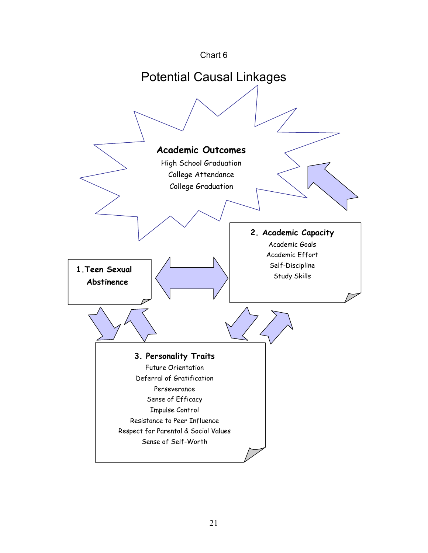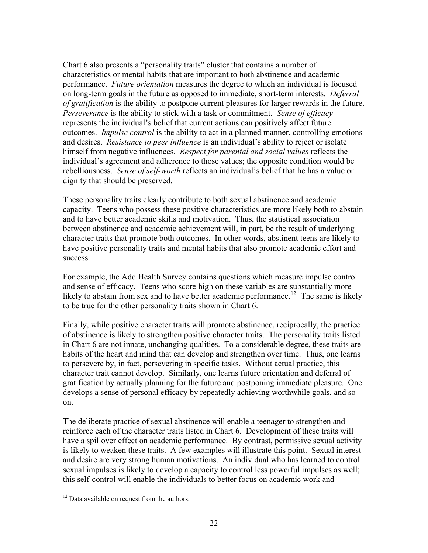<span id="page-21-0"></span>Chart 6 also presents a "personality traits" cluster that contains a number of characteristics or mental habits that are important to both abstinence and academic performance. *Future orientation* measures the degree to which an individual is focused on long-term goals in the future as opposed to immediate, short-term interests. *Deferral of gratification* is the ability to postpone current pleasures for larger rewards in the future. *Perseverance* is the ability to stick with a task or commitment. *Sense of efficacy* represents the individual's belief that current actions can positively affect future outcomes. *Impulse control* is the ability to act in a planned manner, controlling emotions and desires. *Resistance to peer influence* is an individual's ability to reject or isolate himself from negative influences. *Respect for parental and social values* reflects the individual's agreement and adherence to those values; the opposite condition would be rebelliousness. *Sense of self-worth* reflects an individual's belief that he has a value or dignity that should be preserved.

These personality traits clearly contribute to both sexual abstinence and academic capacity. Teens who possess these positive characteristics are more likely both to abstain and to have better academic skills and motivation. Thus, the statistical association between abstinence and academic achievement will, in part, be the result of underlying character traits that promote both outcomes. In other words, abstinent teens are likely to have positive personality traits and mental habits that also promote academic effort and success.

For example, the Add Health Survey contains questions which measure impulse control and sense of efficacy. Teens who score high on these variables are substantially more likely to abstain from sex and to have better academic performance.<sup>[12](#page-21-0)</sup> The same is likely to be true for the other personality traits shown in Chart 6.

Finally, while positive character traits will promote abstinence, reciprocally, the practice of abstinence is likely to strengthen positive character traits. The personality traits listed in Chart 6 are not innate, unchanging qualities. To a considerable degree, these traits are habits of the heart and mind that can develop and strengthen over time. Thus, one learns to persevere by, in fact, persevering in specific tasks. Without actual practice, this character trait cannot develop. Similarly, one learns future orientation and deferral of gratification by actually planning for the future and postponing immediate pleasure. One develops a sense of personal efficacy by repeatedly achieving worthwhile goals, and so on.

The deliberate practice of sexual abstinence will enable a teenager to strengthen and reinforce each of the character traits listed in Chart 6. Development of these traits will have a spillover effect on academic performance. By contrast, permissive sexual activity is likely to weaken these traits. A few examples will illustrate this point. Sexual interest and desire are very strong human motivations. An individual who has learned to control sexual impulses is likely to develop a capacity to control less powerful impulses as well; this self-control will enable the individuals to better focus on academic work and

 $\overline{a}$ 

<sup>&</sup>lt;sup>12</sup> Data available on request from the authors.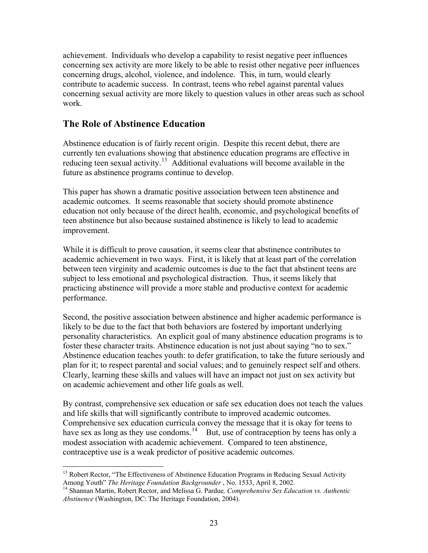<span id="page-22-0"></span>achievement. Individuals who develop a capability to resist negative peer influences concerning sex activity are more likely to be able to resist other negative peer influences concerning drugs, alcohol, violence, and indolence. This, in turn, would clearly contribute to academic success. In contrast, teens who rebel against parental values concerning sexual activity are more likely to question values in other areas such as school work.

### **The Role of Abstinence Education**

 $\overline{a}$ 

Abstinence education is of fairly recent origin. Despite this recent debut, there are currently ten evaluations showing that abstinence education programs are effective in reducing teen sexual activity.<sup>[13](#page-22-0)</sup> Additional evaluations will become available in the future as abstinence programs continue to develop.

This paper has shown a dramatic positive association between teen abstinence and academic outcomes. It seems reasonable that society should promote abstinence education not only because of the direct health, economic, and psychological benefits of teen abstinence but also because sustained abstinence is likely to lead to academic improvement.

While it is difficult to prove causation, it seems clear that abstinence contributes to academic achievement in two ways. First, it is likely that at least part of the correlation between teen virginity and academic outcomes is due to the fact that abstinent teens are subject to less emotional and psychological distraction. Thus, it seems likely that practicing abstinence will provide a more stable and productive context for academic performance.

Second, the positive association between abstinence and higher academic performance is likely to be due to the fact that both behaviors are fostered by important underlying personality characteristics. An explicit goal of many abstinence education programs is to foster these character traits. Abstinence education is not just about saying "no to sex." Abstinence education teaches youth: to defer gratification, to take the future seriously and plan for it; to respect parental and social values; and to genuinely respect self and others. Clearly, learning these skills and values will have an impact not just on sex activity but on academic achievement and other life goals as well.

By contrast, comprehensive sex education or safe sex education does not teach the values and life skills that will significantly contribute to improved academic outcomes. Comprehensive sex education curricula convey the message that it is okay for teens to have sex as long as they use condoms.<sup>[14](#page-22-0)</sup> But, use of contraception by teens has only a modest association with academic achievement. Compared to teen abstinence, contraceptive use is a weak predictor of positive academic outcomes.

<sup>&</sup>lt;sup>13</sup> Robert Rector, "The Effectiveness of Abstinence Education Programs in Reducing Sexual Activity Among Youth" *The Heritage Foundation Backgrounder*, No. 1533, April 8, 2002.

<sup>&</sup>lt;sup>14</sup> Shannan Martin, Robert Rector, and Melissa G. Pardue, Comprehensive Sex Education vs. Authentic *Abstinence* (Washington, DC: The Heritage Foundation, 2004).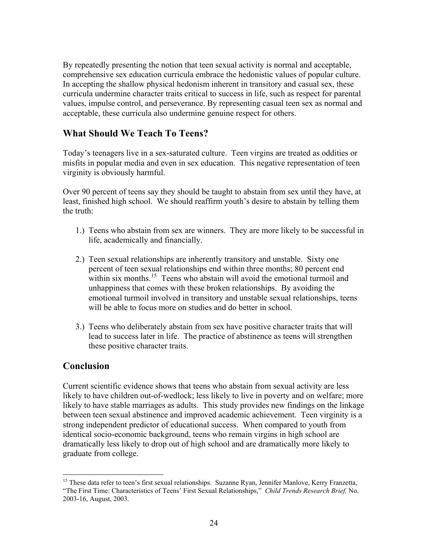<span id="page-23-0"></span>By repeatedly presenting the notion that teen sexual activity is normal and acceptable, comprehensive sex education curricula embrace the hedonistic values of popular culture. In accepting the shallow physical hedonism inherent in transitory and casual sex, these curricula undermine character traits critical to success in life, such as respect for parental values, impulse control, and perseverance. By representing casual teen sex as normal and acceptable, these curricula also undermine genuine respect for others.

## **What Should We Teach To Teens?**

Today's teenagers live in a sex-saturated culture. Teen virgins are treated as oddities or misfits in popular media and even in sex education. This negative representation of teen virginity is obviously harmful.

Over 90 percent of teens say they should be taught to abstain from sex until they have, at least, finished high school. We should reaffirm youth's desire to abstain by telling them the truth:

- 1.) Teens who abstain from sex are winners. They are more likely to be successful in life, academically and financially.
- 2.) Teen sexual relationships are inherently transitory and unstable. Sixty one percent of teen sexual relationships end within three months; 80 percent end within six months.<sup>[15](#page-23-0)</sup> Teens who abstain will avoid the emotional turmoil and unhappiness that comes with these broken relationships. By avoiding the emotional turmoil involved in transitory and unstable sexual relationships, teens will be able to focus more on studies and do better in school.
- 3.) Teens who deliberately abstain from sex have positive character traits that will lead to success later in life. The practice of abstinence as teens will strengthen these positive character traits.

## **Conclusion**

 $\overline{a}$ 

Current scientific evidence shows that teens who abstain from sexual activity are less likely to have children out-of-wedlock; less likely to live in poverty and on welfare; more likely to have stable marriages as adults. This study provides new findings on the linkage between teen sexual abstinence and improved academic achievement. Teen virginity is a strong independent predictor of educational success. When compared to youth from identical socio-economic background, teens who remain virgins in high school are dramatically less likely to drop out of high school and are dramatically more likely to graduate from college.

<sup>&</sup>lt;sup>15</sup> These data refer to teen's first sexual relationships. Suzanne Ryan, Jennifer Manlove, Kerry Franzetta, "The First Time: Characteristics of Teens' First Sexual Relationships," *Child Trends Research Brief,* No. 2003-16, August, 2003.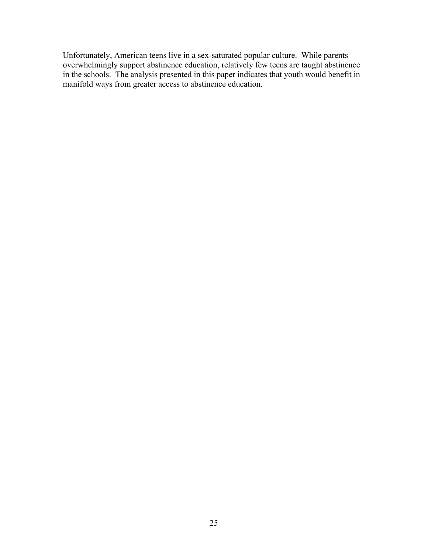Unfortunately, American teens live in a sex-saturated popular culture. While parents overwhelmingly support abstinence education, relatively few teens are taught abstinence in the schools. The analysis presented in this paper indicates that youth would benefit in manifold ways from greater access to abstinence education.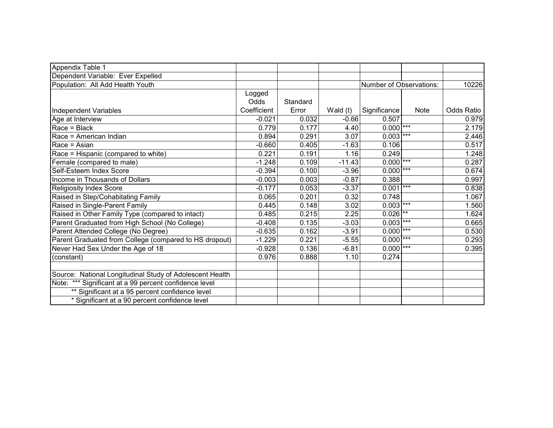| Appendix Table 1                                         |             |          |            |                         |             |            |
|----------------------------------------------------------|-------------|----------|------------|-------------------------|-------------|------------|
| Dependent Variable: Ever Expelled                        |             |          |            |                         |             |            |
| Population: All Add Health Youth                         |             |          |            | Number of Observations: |             | 10226      |
|                                                          | Logged      |          |            |                         |             |            |
|                                                          | Odds        | Standard |            |                         |             |            |
| Independent Variables                                    | Coefficient | Error    | Wald $(t)$ | Significance            | <b>Note</b> | Odds Ratio |
| Age at Interview                                         | $-0.021$    | 0.032    | $-0.66$    | 0.507                   |             | 0.979      |
| $Race = Black$                                           | 0.779       | 0.177    | 4.40       | $0.000$ <sup>***</sup>  |             | 2.179      |
| Race = American Indian                                   | 0.894       | 0.291    | 3.07       | $0.003$ ***             |             | 2.446      |
| Race = Asian                                             | $-0.660$    | 0.405    | $-1.63$    | 0.106                   |             | 0.517      |
| Race = Hispanic (compared to white)                      | 0.221       | 0.191    | 1.16       | 0.249                   |             | 1.248      |
| Female (compared to male)                                | $-1.248$    | 0.109    | $-11.43$   | $0.000$ <sup>***</sup>  |             | 0.287      |
| Self-Esteem Index Score                                  | $-0.394$    | 0.100    | $-3.96$    | $0.000$ ***             |             | 0.674      |
| Income in Thousands of Dollars                           | $-0.003$    | 0.003    | $-0.87$    | 0.388                   |             | 0.997      |
| <b>Religiosity Index Score</b>                           | $-0.177$    | 0.053    | $-3.37$    | 0.001                   | $***$       | 0.838      |
| Raised in Step/Cohabitating Family                       | 0.065       | 0.201    | 0.32       | 0.748                   |             | 1.067      |
| Raised in Single-Parent Family                           | 0.445       | 0.148    | 3.02       | $0.003$ ***             |             | 1.560      |
| Raised in Other Family Type (compared to intact)         | 0.485       | 0.215    | 2.25       | $0.026$ <sup>**</sup>   |             | 1.624      |
| Parent Graduated from High School (No College)           | $-0.408$    | 0.135    | $-3.03$    | $0.003$ ***             |             | 0.665      |
| Parent Attended College (No Degree)                      | $-0.635$    | 0.162    | $-3.91$    | 0.000                   | $***$       | 0.530      |
| Parent Graduated from College (compared to HS dropout)   | $-1.229$    | 0.221    | $-5.55$    | $0.000$ <sup>***</sup>  |             | 0.293      |
| Never Had Sex Under the Age of 18                        | $-0.928$    | 0.136    | $-6.81$    | $0.000$ ***             |             | 0.395      |
| (constant)                                               | 0.976       | 0.888    | 1.10       | 0.274                   |             |            |
|                                                          |             |          |            |                         |             |            |
| Source: National Longitudinal Study of Adolescent Health |             |          |            |                         |             |            |
| Note: *** Significant at a 99 percent confidence level   |             |          |            |                         |             |            |
| ** Significant at a 95 percent confidence level          |             |          |            |                         |             |            |
| * Significant at a 90 percent confidence level           |             |          |            |                         |             |            |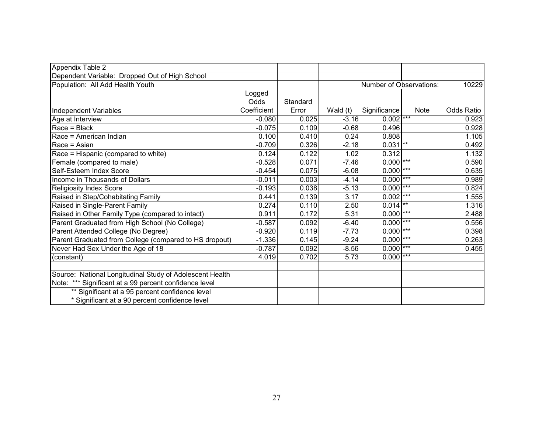| Appendix Table 2                                         |             |          |            |                         |             |            |
|----------------------------------------------------------|-------------|----------|------------|-------------------------|-------------|------------|
| Dependent Variable: Dropped Out of High School           |             |          |            |                         |             |            |
| Population: All Add Health Youth                         |             |          |            | Number of Observations: |             | 10229      |
|                                                          | Logged      |          |            |                         |             |            |
|                                                          | Odds        | Standard |            |                         |             |            |
| Independent Variables                                    | Coefficient | Error    | Wald $(t)$ | Significance            | <b>Note</b> | Odds Ratio |
| Age at Interview                                         | $-0.080$    | 0.025    | $-3.16$    | $0.002$ <sup>***</sup>  |             | 0.923      |
| $Race = Black$                                           | $-0.075$    | 0.109    | $-0.68$    | 0.496                   |             | 0.928      |
| Race = American Indian                                   | 0.100       | 0.410    | 0.24       | 0.808                   |             | 1.105      |
| Race = Asian                                             | $-0.709$    | 0.326    | $-2.18$    | $0.031$ **              |             | 0.492      |
| Race = Hispanic (compared to white)                      | 0.124       | 0.122    | 1.02       | 0.312                   |             | 1.132      |
| Female (compared to male)                                | $-0.528$    | 0.071    | $-7.46$    | $0.000$ <sup>***</sup>  |             | 0.590      |
| Self-Esteem Index Score                                  | $-0.454$    | 0.075    | $-6.08$    | $0.000$ ***             |             | 0.635      |
| Income in Thousands of Dollars                           | $-0.011$    | 0.003    | $-4.14$    | 0.000                   | $***$       | 0.989      |
| <b>Religiosity Index Score</b>                           | $-0.193$    | 0.038    | $-5.13$    | 0.000                   | $***$       | 0.824      |
| Raised in Step/Cohabitating Family                       | 0.441       | 0.139    | 3.17       | 0.002                   | $***$       | 1.555      |
| Raised in Single-Parent Family                           | 0.274       | 0.110    | 2.50       | $0.014$ **              |             | 1.316      |
| Raised in Other Family Type (compared to intact)         | 0.911       | 0.172    | 5.31       | 0.000                   | $***$       | 2.488      |
| Parent Graduated from High School (No College)           | $-0.587$    | 0.092    | $-6.40$    | 0.000                   | $***$       | 0.556      |
| Parent Attended College (No Degree)                      | $-0.920$    | 0.119    | $-7.73$    | 0.000                   | $***$       | 0.398      |
| Parent Graduated from College (compared to HS dropout)   | $-1.336$    | 0.145    | $-9.24$    | 0.000                   | $***$       | 0.263      |
| Never Had Sex Under the Age of 18                        | $-0.787$    | 0.092    | $-8.56$    | 0.000                   | $***$       | 0.455      |
| (constant)                                               | 4.019       | 0.702    | 5.73       | 0.000                   | $***$       |            |
|                                                          |             |          |            |                         |             |            |
| Source: National Longitudinal Study of Adolescent Health |             |          |            |                         |             |            |
| Note: *** Significant at a 99 percent confidence level   |             |          |            |                         |             |            |
| ** Significant at a 95 percent confidence level          |             |          |            |                         |             |            |
| * Significant at a 90 percent confidence level           |             |          |            |                         |             |            |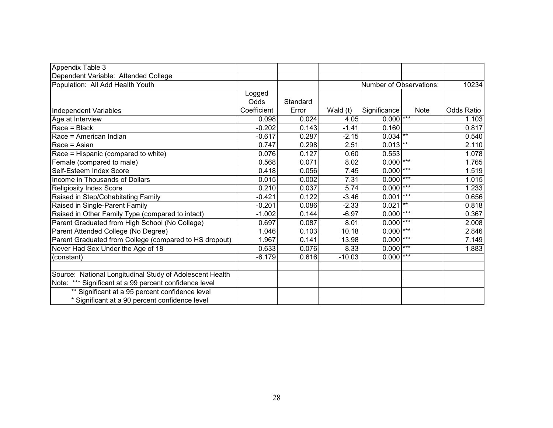| Appendix Table 3                                         |             |          |            |                         |             |            |
|----------------------------------------------------------|-------------|----------|------------|-------------------------|-------------|------------|
| Dependent Variable: Attended College                     |             |          |            |                         |             |            |
| Population: All Add Health Youth                         |             |          |            | Number of Observations: |             | 10234      |
|                                                          | Logged      |          |            |                         |             |            |
|                                                          | Odds        | Standard |            |                         |             |            |
| Independent Variables                                    | Coefficient | Error    | Wald $(t)$ | Significance            | <b>Note</b> | Odds Ratio |
| Age at Interview                                         | 0.098       | 0.024    | 4.05       | $0.000$ <sup>***</sup>  |             | 1.103      |
| $Race = Black$                                           | $-0.202$    | 0.143    | $-1.41$    | 0.160                   |             | 0.817      |
| Race = American Indian                                   | $-0.617$    | 0.287    | $-2.15$    | $0.034$ **              |             | 0.540      |
| Race = Asian                                             | 0.747       | 0.298    | 2.51       | $0.013$ **              |             | 2.110      |
| Race = Hispanic (compared to white)                      | 0.076       | 0.127    | 0.60       | 0.553                   |             | 1.078      |
| Female (compared to male)                                | 0.568       | 0.071    | 8.02       | $0.000$ <sup>***</sup>  |             | 1.765      |
| Self-Esteem Index Score                                  | 0.418       | 0.056    | 7.45       | $0.000$ ***             |             | 1.519      |
| Income in Thousands of Dollars                           | 0.015       | 0.002    | 7.31       | 0.000                   | $***$       | 1.015      |
| <b>Religiosity Index Score</b>                           | 0.210       | 0.037    | 5.74       | 0.000                   | $***$       | 1.233      |
| Raised in Step/Cohabitating Family                       | $-0.421$    | 0.122    | $-3.46$    | 0.001                   | $***$       | 0.656      |
| Raised in Single-Parent Family                           | $-0.201$    | 0.086    | $-2.33$    | 0.021                   | $***$       | 0.818      |
| Raised in Other Family Type (compared to intact)         | $-1.002$    | 0.144    | $-6.97$    | 0.000                   | $***$       | 0.367      |
| Parent Graduated from High School (No College)           | 0.697       | 0.087    | 8.01       | 0.000                   | $***$       | 2.008      |
| Parent Attended College (No Degree)                      | 1.046       | 0.103    | 10.18      | 0.000                   | $***$       | 2.846      |
| Parent Graduated from College (compared to HS dropout)   | 1.967       | 0.141    | 13.98      | $0.000$ ***             |             | 7.149      |
| Never Had Sex Under the Age of 18                        | 0.633       | 0.076    | 8.33       | 0.000                   | $***$       | 1.883      |
| (constant)                                               | $-6.179$    | 0.616    | $-10.03$   | 0.000                   | $***$       |            |
|                                                          |             |          |            |                         |             |            |
| Source: National Longitudinal Study of Adolescent Health |             |          |            |                         |             |            |
| Note: *** Significant at a 99 percent confidence level   |             |          |            |                         |             |            |
| ** Significant at a 95 percent confidence level          |             |          |            |                         |             |            |
| * Significant at a 90 percent confidence level           |             |          |            |                         |             |            |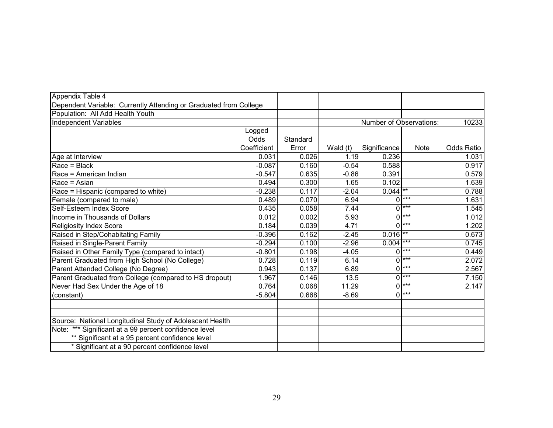| Appendix Table 4                                                  |             |          |          |                         |             |                   |
|-------------------------------------------------------------------|-------------|----------|----------|-------------------------|-------------|-------------------|
| Dependent Variable: Currently Attending or Graduated from College |             |          |          |                         |             |                   |
| Population: All Add Health Youth                                  |             |          |          |                         |             |                   |
| <b>Independent Variables</b>                                      |             |          |          | Number of Observations: |             | 10233             |
|                                                                   | Logged      |          |          |                         |             |                   |
|                                                                   | Odds        | Standard |          |                         |             |                   |
|                                                                   | Coefficient | Error    | Wald (t) | Significance            | <b>Note</b> | <b>Odds Ratio</b> |
| Age at Interview                                                  | 0.031       | 0.026    | 1.19     | 0.236                   |             | 1.031             |
| Race = Black                                                      | $-0.087$    | 0.160    | $-0.54$  | 0.588                   |             | 0.917             |
| Race = American Indian                                            | $-0.547$    | 0.635    | $-0.86$  | 0.391                   |             | 0.579             |
| Race = Asian                                                      | 0.494       | 0.300    | 1.65     | 0.102                   |             | 1.639             |
| Race = Hispanic (compared to white)                               | $-0.238$    | 0.117    | $-2.04$  | $0.044$ **              |             | 0.788             |
| Female (compared to male)                                         | 0.489       | 0.070    | 6.94     | 0                       | $***$       | 1.631             |
| Self-Esteem Index Score                                           | 0.435       | 0.058    | 7.44     | 0                       | $***$       | 1.545             |
| Income in Thousands of Dollars                                    | 0.012       | 0.002    | 5.93     | 0                       | $***$       | 1.012             |
| <b>Religiosity Index Score</b>                                    | 0.184       | 0.039    | 4.71     | 0                       | $***$       | 1.202             |
| Raised in Step/Cohabitating Family                                | $-0.396$    | 0.162    | $-2.45$  | 0.016                   | $***$       | 0.673             |
| Raised in Single-Parent Family                                    | $-0.294$    | 0.100    | $-2.96$  | 0.004                   | $***$       | 0.745             |
| Raised in Other Family Type (compared to intact)                  | $-0.801$    | 0.198    | $-4.05$  | 0                       | $***$       | 0.449             |
| Parent Graduated from High School (No College)                    | 0.728       | 0.119    | 6.14     | 0                       | $***$       | 2.072             |
| Parent Attended College (No Degree)                               | 0.943       | 0.137    | 6.89     | 0                       | $***$       | 2.567             |
| Parent Graduated from College (compared to HS dropout)            | 1.967       | 0.146    | 13.5     | 0                       | $***$       | 7.150             |
| Never Had Sex Under the Age of 18                                 | 0.764       | 0.068    | 11.29    | 0                       | $***$       | 2.147             |
| (constant)                                                        | $-5.804$    | 0.668    | $-8.69$  | 0                       | $***$       |                   |
|                                                                   |             |          |          |                         |             |                   |
|                                                                   |             |          |          |                         |             |                   |
| Source: National Longitudinal Study of Adolescent Health          |             |          |          |                         |             |                   |
| Note: *** Significant at a 99 percent confidence level            |             |          |          |                         |             |                   |
| ** Significant at a 95 percent confidence level                   |             |          |          |                         |             |                   |
| * Significant at a 90 percent confidence level                    |             |          |          |                         |             |                   |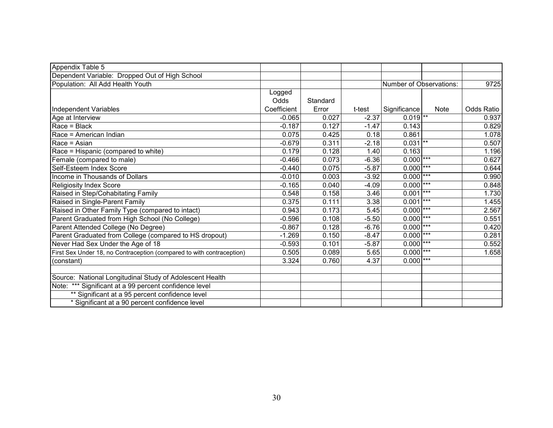| Appendix Table 5                                                      |             |          |         |                         |             |                   |
|-----------------------------------------------------------------------|-------------|----------|---------|-------------------------|-------------|-------------------|
| Dependent Variable: Dropped Out of High School                        |             |          |         |                         |             |                   |
| Population: All Add Health Youth                                      |             |          |         | Number of Observations: |             | 9725              |
|                                                                       | Logged      |          |         |                         |             |                   |
|                                                                       | Odds        | Standard |         |                         |             |                   |
| Independent Variables                                                 | Coefficient | Error    | t-test  | Significance            | <b>Note</b> | <b>Odds Ratio</b> |
| Age at Interview                                                      | $-0.065$    | 0.027    | $-2.37$ | $0.019$ <sup>**</sup>   |             | 0.937             |
| Race = Black                                                          | $-0.187$    | 0.127    | $-1.47$ | 0.143                   |             | 0.829             |
| IRace = American Indian                                               | 0.075       | 0.425    | 0.18    | 0.861                   |             | 1.078             |
| Race = Asian                                                          | $-0.679$    | 0.311    | $-2.18$ | $0.031$ **              |             | 0.507             |
| Race = Hispanic (compared to white)                                   | 0.179       | 0.128    | 1.40    | 0.163                   |             | 1.196             |
| Female (compared to male)                                             | $-0.466$    | 0.073    | $-6.36$ | $0.000$ ***             |             | 0.627             |
| Self-Esteem Index Score                                               | $-0.440$    | 0.075    | $-5.87$ | $0.000$ ***             |             | 0.644             |
| Income in Thousands of Dollars                                        | $-0.010$    | 0.003    | $-3.92$ | $0.000$ ***             |             | 0.990             |
| <b>Religiosity Index Score</b>                                        | $-0.165$    | 0.040    | $-4.09$ | $0.000$ <sup>***</sup>  |             | 0.848             |
| Raised in Step/Cohabitating Family                                    | 0.548       | 0.158    | 3.46    | $0.001$ ***             |             | 1.730             |
| Raised in Single-Parent Family                                        | 0.375       | 0.111    | 3.38    | $0.001$ ***             |             | 1.455             |
| Raised in Other Family Type (compared to intact)                      | 0.943       | 0.173    | 5.45    | $0.000$ <sup>***</sup>  |             | 2.567             |
| Parent Graduated from High School (No College)                        | $-0.596$    | 0.108    | $-5.50$ | $0.000$ <sup>***</sup>  |             | 0.551             |
| Parent Attended College (No Degree)                                   | $-0.867$    | 0.128    | $-6.76$ | $0.000$ ***             |             | 0.420             |
| Parent Graduated from College (compared to HS dropout)                | $-1.269$    | 0.150    | $-8.47$ | $0.000$ ***             |             | 0.281             |
| Never Had Sex Under the Age of 18                                     | $-0.593$    | 0.101    | $-5.87$ | $0.000$ <sup>***</sup>  |             | 0.552             |
| First Sex Under 18, no Contraception (compared to with contraception) | 0.505       | 0.089    | 5.65    | $0.000$ ***             |             | 1.658             |
| (constant)                                                            | 3.324       | 0.760    | 4.37    | $0.000$ ***             |             |                   |
|                                                                       |             |          |         |                         |             |                   |
| Source: National Longitudinal Study of Adolescent Health              |             |          |         |                         |             |                   |
| Note: *** Significant at a 99 percent confidence level                |             |          |         |                         |             |                   |
| ** Significant at a 95 percent confidence level                       |             |          |         |                         |             |                   |
| * Significant at a 90 percent confidence level                        |             |          |         |                         |             |                   |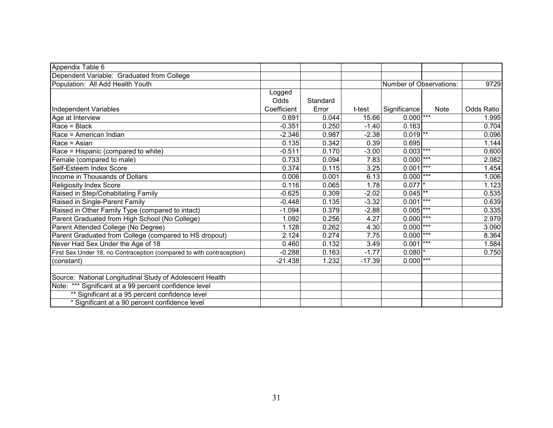| Appendix Table 6                                                      |             |          |          |                         |             |            |
|-----------------------------------------------------------------------|-------------|----------|----------|-------------------------|-------------|------------|
| Dependent Variable: Graduated from College                            |             |          |          |                         |             |            |
| Population: All Add Health Youth                                      |             |          |          | Number of Observations: |             | 9729       |
|                                                                       | Logged      |          |          |                         |             |            |
|                                                                       | Odds        | Standard |          |                         |             |            |
| Independent Variables                                                 | Coefficient | Error    | t-test   | Significance            | <b>Note</b> | Odds Ratio |
| Age at Interview                                                      | 0.691       | 0.044    | 15.66    | $0.000$ <sup>***</sup>  |             | 1.995      |
| Race = Black                                                          | $-0.351$    | 0.250    | $-1.40$  | 0.163                   |             | 0.704      |
| Race = American Indian                                                | $-2.346$    | 0.987    | $-2.38$  | $0.019$ <sup>**</sup>   |             | 0.096      |
| Race = Asian                                                          | 0.135       | 0.342    | 0.39     | 0.695                   |             | 1.144      |
| Race = Hispanic (compared to white)                                   | $-0.511$    | 0.170    | $-3.00$  | $0.003$ ***             |             | 0.600      |
| Female (compared to male)                                             | 0.733       | 0.094    | 7.83     | $0.000$ ***             |             | 2.082      |
| Self-Esteem Index Score                                               | 0.374       | 0.115    | 3.25     | 0.001                   | $***$       | 1.454      |
| Income in Thousands of Dollars                                        | 0.006       | 0.001    | 6.13     | $0.000$ ***             |             | 1.006      |
| Religiosity Index Score                                               | 0.116       | 0.065    | 1.78     | $0.077$ <sup>*</sup>    |             | 1.123      |
| Raised in Step/Cohabitating Family                                    | $-0.625$    | 0.309    | $-2.02$  | $0.045$ <sup>**</sup>   |             | 0.535      |
| Raised in Single-Parent Family                                        | $-0.448$    | 0.135    | $-3.32$  | $0.001$ ***             |             | 0.639      |
| Raised in Other Family Type (compared to intact)                      | $-1.094$    | 0.379    | $-2.88$  | $0.005$ <sup>***</sup>  |             | 0.335      |
| Parent Graduated from High School (No College)                        | 1.092       | 0.256    | 4.27     | $0.000$ ***             |             | 2.979      |
| Parent Attended College (No Degree)                                   | 1.128       | 0.262    | 4.30     | $0.000$ ***             |             | 3.090      |
| Parent Graduated from College (compared to HS dropout)                | 2.124       | 0.274    | 7.75     | $0.000$ ***             |             | 8.364      |
| Never Had Sex Under the Age of 18                                     | 0.460       | 0.132    | 3.49     | $0.001$ ***             |             | 1.584      |
| First Sex Under 18, no Contraception (compared to with contraception) | $-0.288$    | 0.163    | $-1.77$  | $0.080$ <sup>*</sup>    |             | 0.750      |
| (constant)                                                            | $-21.438$   | 1.232    | $-17.39$ | $0.000$ ***             |             |            |
|                                                                       |             |          |          |                         |             |            |
| Source: National Longitudinal Study of Adolescent Health              |             |          |          |                         |             |            |
| Note: *** Significant at a 99 percent confidence level                |             |          |          |                         |             |            |
| ** Significant at a 95 percent confidence level                       |             |          |          |                         |             |            |
| * Significant at a 90 percent confidence level                        |             |          |          |                         |             |            |